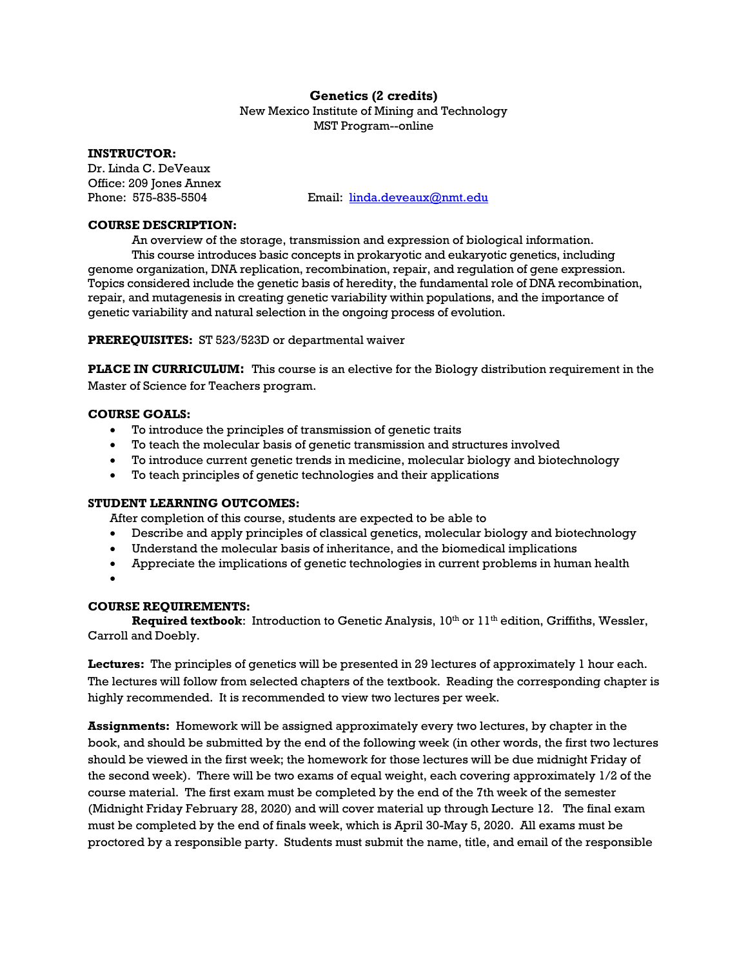# **Genetics (2 credits)**

New Mexico Institute of Mining and Technology MST Program--online

#### **INSTRUCTOR:**

Dr. Linda C. DeVeaux Office: 209 Jones Annex

Phone: 575-835-5504 Email: linda.deveaux@nmt.edu

### **COURSE DESCRIPTION:**

An overview of the storage, transmission and expression of biological information. This course introduces basic concepts in prokaryotic and eukaryotic genetics, including genome organization, DNA replication, recombination, repair, and regulation of gene expression. Topics considered include the genetic basis of heredity, the fundamental role of DNA recombination, repair, and mutagenesis in creating genetic variability within populations, and the importance of

**PREREQUISITES:** ST 523/523D or departmental waiver

**PLACE IN CURRICULUM**: This course is an elective for the Biology distribution requirement in the Master of Science for Teachers program.

### **COURSE GOALS:**

To introduce the principles of transmission of genetic traits

genetic variability and natural selection in the ongoing process of evolution.

- To teach the molecular basis of genetic transmission and structures involved
- To introduce current genetic trends in medicine, molecular biology and biotechnology
- To teach principles of genetic technologies and their applications

#### **STUDENT LEARNING OUTCOMES:**

After completion of this course, students are expected to be able to

- Describe and apply principles of classical genetics, molecular biology and biotechnology
- Understand the molecular basis of inheritance, and the biomedical implications
- Appreciate the implications of genetic technologies in current problems in human health
- $\bullet$

### **COURSE REQUIREMENTS:**

**Required textbook:** Introduction to Genetic Analysis,  $10^{th}$  or  $11^{th}$  edition, Griffiths, Wessler, Carroll and Doebly.

**Lectures:** The principles of genetics will be presented in 29 lectures of approximately 1 hour each. The lectures will follow from selected chapters of the textbook. Reading the corresponding chapter is highly recommended. It is recommended to view two lectures per week.

**Assignments:** Homework will be assigned approximately every two lectures, by chapter in the book, and should be submitted by the end of the following week (in other words, the first two lectures should be viewed in the first week; the homework for those lectures will be due midnight Friday of the second week). There will be two exams of equal weight, each covering approximately 1/2 of the course material. The first exam must be completed by the end of the 7th week of the semester (Midnight Friday February 28, 2020) and will cover material up through Lecture 12. The final exam must be completed by the end of finals week, which is April 30-May 5, 2020. All exams must be proctored by a responsible party. Students must submit the name, title, and email of the responsible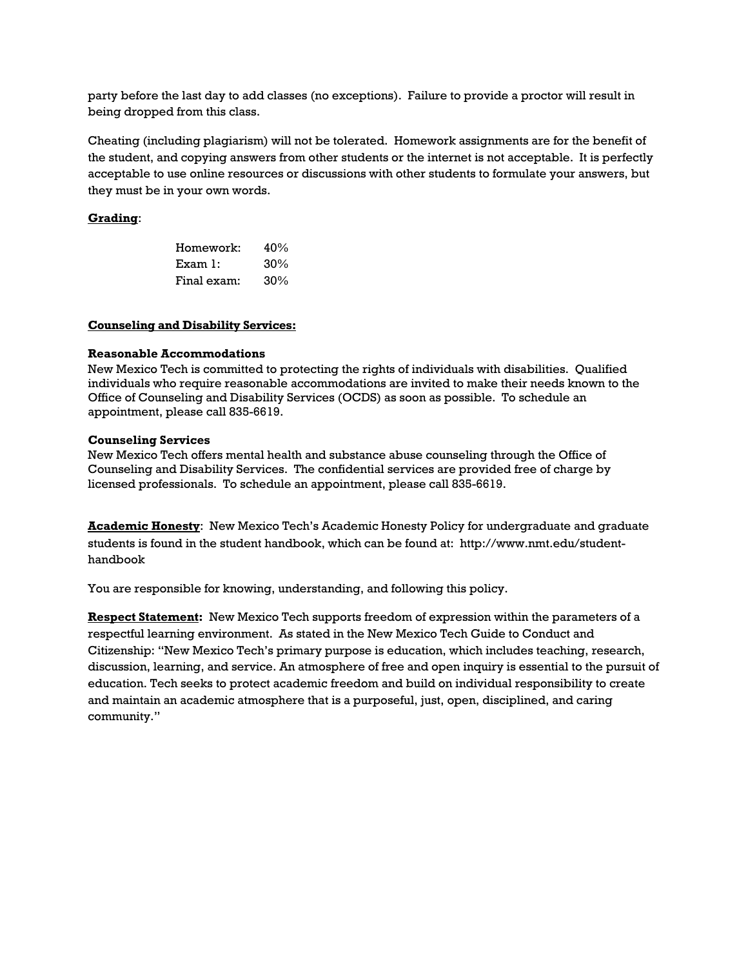party before the last day to add classes (no exceptions). Failure to provide a proctor will result in being dropped from this class.

Cheating (including plagiarism) will not be tolerated. Homework assignments are for the benefit of the student, and copying answers from other students or the internet is not acceptable. It is perfectly acceptable to use online resources or discussions with other students to formulate your answers, but they must be in your own words.

## **Grading**:

| Homework:   | 40% |
|-------------|-----|
| Example 1:  | 30% |
| Final exam: | 30% |

#### **Counseling and Disability Services:**

#### **Reasonable Accommodations**

New Mexico Tech is committed to protecting the rights of individuals with disabilities. Qualified individuals who require reasonable accommodations are invited to make their needs known to the Office of Counseling and Disability Services (OCDS) as soon as possible. To schedule an appointment, please call 835-6619.

#### **Counseling Services**

New Mexico Tech offers mental health and substance abuse counseling through the Office of Counseling and Disability Services. The confidential services are provided free of charge by licensed professionals. To schedule an appointment, please call 835-6619.

**Academic Honesty**: New Mexico Tech's Academic Honesty Policy for undergraduate and graduate students is found in the student handbook, which can be found at: http://www.nmt.edu/studenthandbook

You are responsible for knowing, understanding, and following this policy.

**Respect Statement:** New Mexico Tech supports freedom of expression within the parameters of a respectful learning environment. As stated in the New Mexico Tech Guide to Conduct and Citizenship: "New Mexico Tech's primary purpose is education, which includes teaching, research, discussion, learning, and service. An atmosphere of free and open inquiry is essential to the pursuit of education. Tech seeks to protect academic freedom and build on individual responsibility to create and maintain an academic atmosphere that is a purposeful, just, open, disciplined, and caring community."